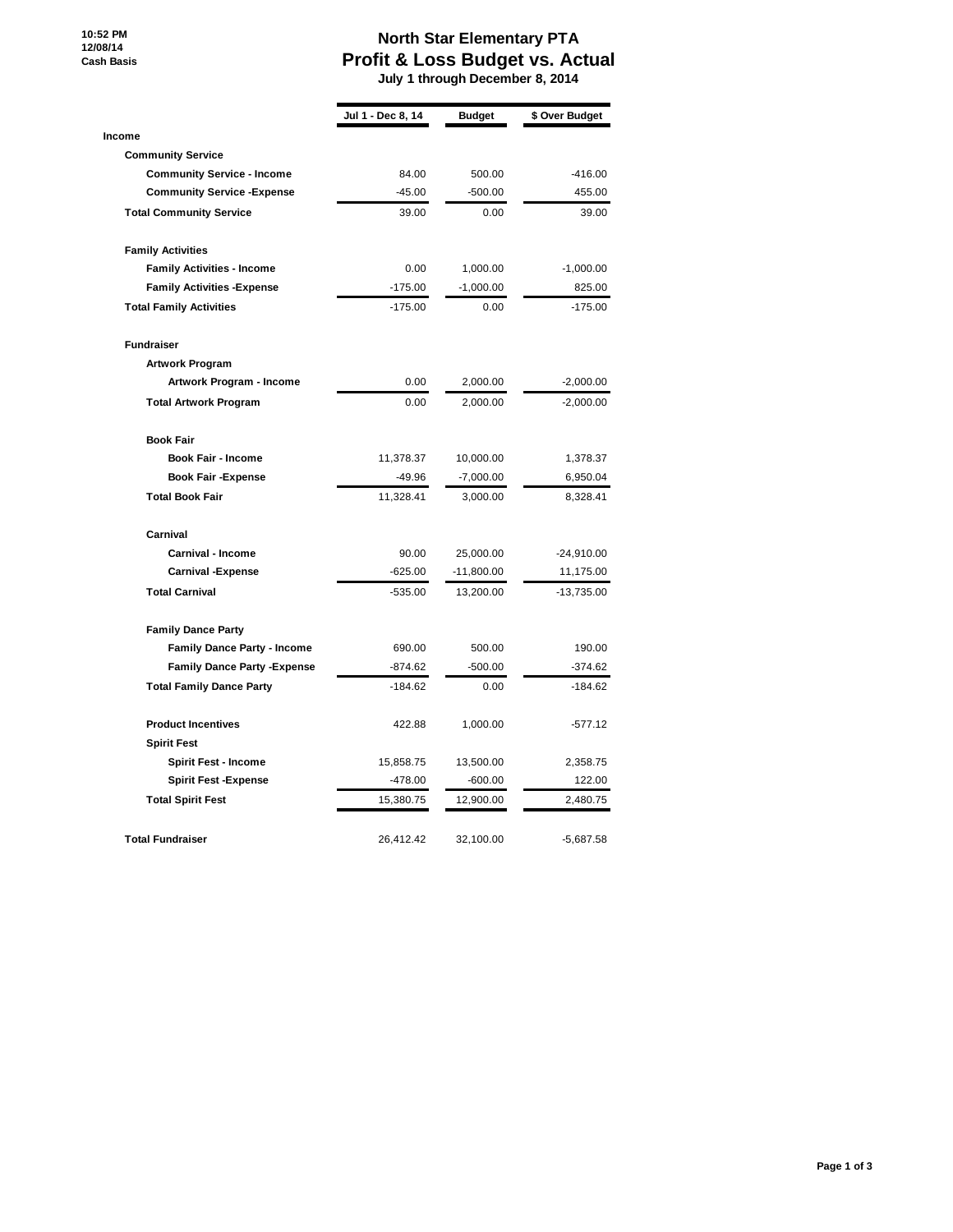**10:52 PM 12/08/14 Cash Basis**

## **North Star Elementary PTA Profit & Loss Budget vs. Actual**

 **July 1 through December 8, 2014**

|                                     | Jul 1 - Dec 8, 14 | <b>Budget</b> | \$ Over Budget |
|-------------------------------------|-------------------|---------------|----------------|
| <b>Income</b>                       |                   |               |                |
| <b>Community Service</b>            |                   |               |                |
| <b>Community Service - Income</b>   | 84.00             | 500.00        | $-416.00$      |
| <b>Community Service - Expense</b>  | $-45.00$          | $-500.00$     | 455.00         |
| <b>Total Community Service</b>      | 39.00             | 0.00          | 39.00          |
| <b>Family Activities</b>            |                   |               |                |
| <b>Family Activities - Income</b>   | 0.00              | 1,000.00      | $-1,000.00$    |
| <b>Family Activities - Expense</b>  | $-175.00$         | $-1,000.00$   | 825.00         |
| <b>Total Family Activities</b>      | $-175.00$         | 0.00          | $-175.00$      |
| <b>Fundraiser</b>                   |                   |               |                |
| <b>Artwork Program</b>              |                   |               |                |
| Artwork Program - Income            | 0.00              | 2,000.00      | $-2,000.00$    |
| <b>Total Artwork Program</b>        | 0.00              | 2,000.00      | $-2,000.00$    |
| <b>Book Fair</b>                    |                   |               |                |
| <b>Book Fair - Income</b>           | 11,378.37         | 10,000.00     | 1,378.37       |
| <b>Book Fair -Expense</b>           | $-49.96$          | $-7,000.00$   | 6,950.04       |
| <b>Total Book Fair</b>              | 11,328.41         | 3,000.00      | 8,328.41       |
| Carnival                            |                   |               |                |
| <b>Carnival - Income</b>            | 90.00             | 25,000.00     | $-24,910.00$   |
| <b>Carnival -Expense</b>            | $-625.00$         | -11,800.00    | 11,175.00      |
| <b>Total Carnival</b>               | -535.00           | 13,200.00     | -13,735.00     |
| <b>Family Dance Party</b>           |                   |               |                |
| <b>Family Dance Party - Income</b>  | 690.00            | 500.00        | 190.00         |
| <b>Family Dance Party - Expense</b> | $-874.62$         | $-500.00$     | $-374.62$      |
| <b>Total Family Dance Party</b>     | $-184.62$         | 0.00          | $-184.62$      |
| <b>Product Incentives</b>           | 422.88            | 1,000.00      | $-577.12$      |
| <b>Spirit Fest</b>                  |                   |               |                |
| <b>Spirit Fest - Income</b>         | 15,858.75         | 13,500.00     | 2,358.75       |
| <b>Spirit Fest -Expense</b>         | $-478.00$         | $-600.00$     | 122.00         |
| <b>Total Spirit Fest</b>            | 15,380.75         | 12,900.00     | 2,480.75       |
| <b>Total Fundraiser</b>             | 26,412.42         | 32,100.00     | $-5,687.58$    |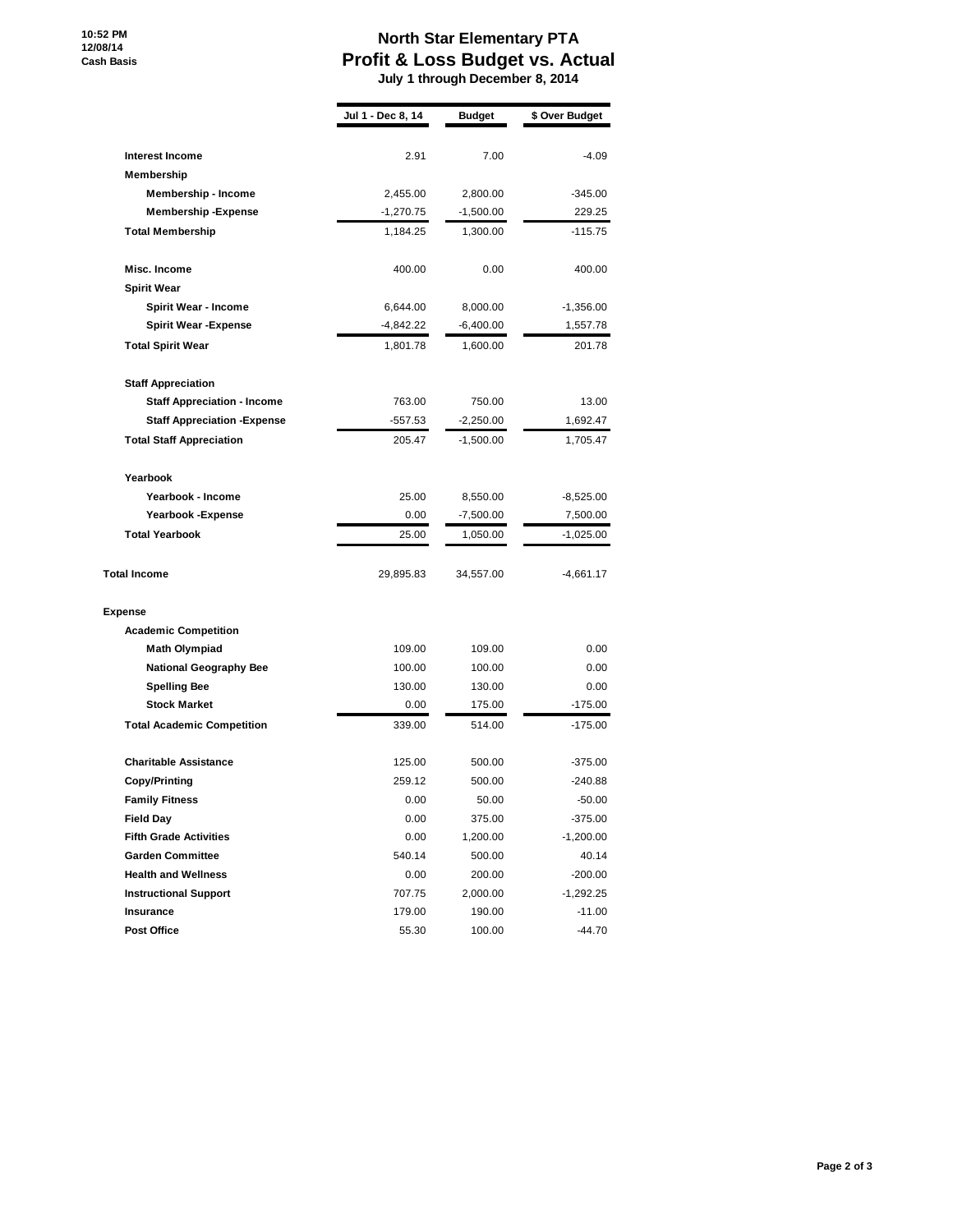**10:52 PM 12/08/14 Cash Basis**

## **North Star Elementary PTA Profit & Loss Budget vs. Actual**

 **July 1 through December 8, 2014**

|                                     | Jul 1 - Dec 8, 14 | <b>Budget</b> | \$ Over Budget |
|-------------------------------------|-------------------|---------------|----------------|
|                                     |                   |               |                |
| <b>Interest Income</b>              | 2.91              | 7.00          | $-4.09$        |
| Membership                          |                   |               |                |
| <b>Membership - Income</b>          | 2,455.00          | 2,800.00      | $-345.00$      |
| <b>Membership-Expense</b>           | $-1,270.75$       | $-1,500.00$   | 229.25         |
| <b>Total Membership</b>             | 1,184.25          | 1,300.00      | $-115.75$      |
| Misc. Income                        | 400.00            | 0.00          | 400.00         |
| <b>Spirit Wear</b>                  |                   |               |                |
| <b>Spirit Wear - Income</b>         | 6,644.00          | 8,000.00      | $-1,356.00$    |
| <b>Spirit Wear -Expense</b>         | $-4,842.22$       | -6,400.00     | 1,557.78       |
| <b>Total Spirit Wear</b>            | 1,801.78          | 1,600.00      | 201.78         |
| <b>Staff Appreciation</b>           |                   |               |                |
| <b>Staff Appreciation - Income</b>  | 763.00            | 750.00        | 13.00          |
| <b>Staff Appreciation - Expense</b> | $-557.53$         | $-2,250.00$   | 1,692.47       |
| <b>Total Staff Appreciation</b>     | 205.47            | $-1,500.00$   | 1,705.47       |
| Yearbook                            |                   |               |                |
| Yearbook - Income                   | 25.00             | 8,550.00      | $-8,525.00$    |
| Yearbook - Expense                  | 0.00              | $-7,500.00$   | 7,500.00       |
| <b>Total Yearbook</b>               | 25.00             | 1,050.00      | $-1,025.00$    |
| <b>Total Income</b>                 | 29,895.83         | 34,557.00     | $-4,661.17$    |
| <b>Expense</b>                      |                   |               |                |
| <b>Academic Competition</b>         |                   |               |                |
| <b>Math Olympiad</b>                | 109.00            | 109.00        | 0.00           |
| <b>National Geography Bee</b>       | 100.00            | 100.00        | 0.00           |
| <b>Spelling Bee</b>                 | 130.00            | 130.00        | 0.00           |
| <b>Stock Market</b>                 | 0.00              | 175.00        | $-175.00$      |
| <b>Total Academic Competition</b>   | 339.00            | 514.00        | $-175.00$      |
| <b>Charitable Assistance</b>        | 125.00            | 500.00        | $-375.00$      |
| Copy/Printing                       | 259.12            | 500.00        | $-240.88$      |
| <b>Family Fitness</b>               | 0.00              | 50.00         | $-50.00$       |
| <b>Field Day</b>                    | 0.00              | 375.00        | $-375.00$      |
| <b>Fifth Grade Activities</b>       | 0.00              | 1,200.00      | $-1,200.00$    |
| <b>Garden Committee</b>             | 540.14            | 500.00        | 40.14          |
| <b>Health and Wellness</b>          | 0.00              | 200.00        | $-200.00$      |
| <b>Instructional Support</b>        | 707.75            | 2,000.00      | $-1,292.25$    |
| Insurance                           | 179.00            | 190.00        | $-11.00$       |
| <b>Post Office</b>                  | 55.30             | 100.00        | $-44.70$       |